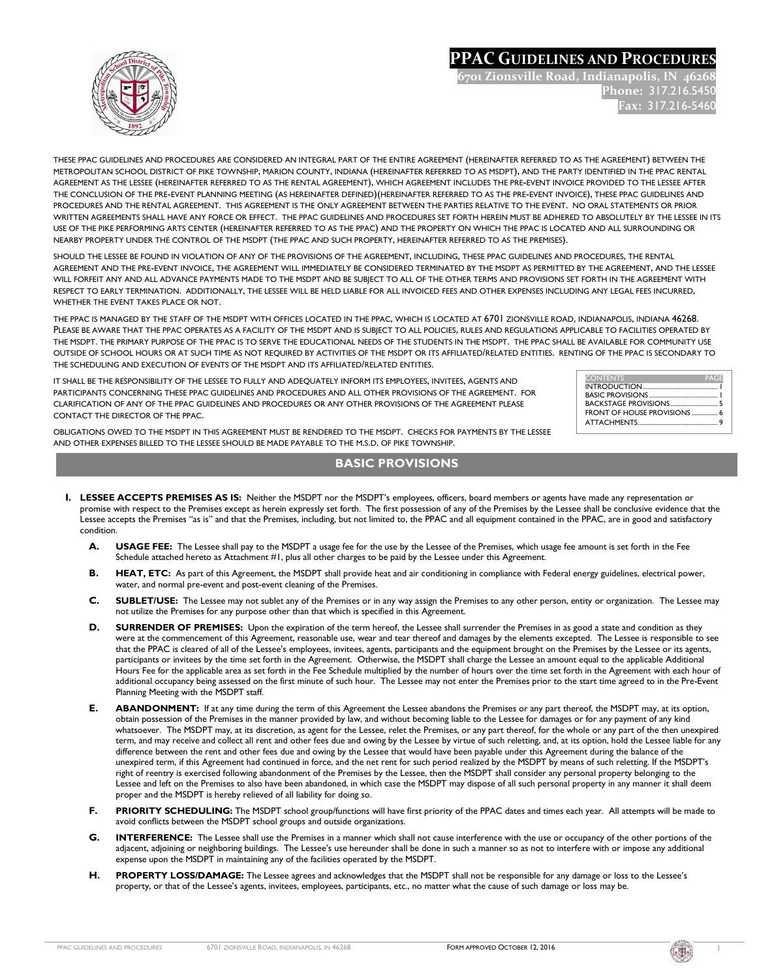## **PPAC GUIDELINES AND PROCEDURES**

**6701 Zionsville Road, Indianapolis, IN 46268 Phone:** 317.216.5450 **Fax:** 317.216-5460



THESE PPAC GUIDELINES AND PROCEDURES ARE CONSIDERED AN INTEGRAL PART OF THE ENTIRE AGREEMENT (HEREINAFTER REFERRED TO AS THE AGREEMENT) BETWEEN THE METROPOLITAN SCHOOL DISTRICT OF PIKE TOWNSHIP, MARION COUNTY, INDIANA (HEREINAFTER REFERRED TO AS MSDPT), AND THE PARTY IDENTIFIED IN THE PPAC RENTAL AGREEMENT AS THE LESSEE (HEREINAFTER REFERRED TO AS THE RENTAL AGREEMENT), WHICH AGREEMENT INCLUDES THE PRE-EVENT INVOICE PROVIDED TO THE LESSEE AFTER THE CONCLUSION OF THE PRE-EVENT PLANNING MEETING (AS HEREINAFTER DEFINED)(HEREINAFTER REFERRED TO AS THE PRE-EVENT INVOICE), THESE PPAC GUIDELINES AND PROCEDURES AND THE RENTAL AGREEMENT. THIS AGREEMENT IS THE ONLY AGREEMENT BETWEEN THE PARTIES RELATIVE TO THE EVENT. NO ORAL STATEMENTS OR PRIOR WRITTEN AGREEMENTS SHALL HAVE ANY FORCE OR EFFECT. THE PPAC GUIDELINES AND PROCEDURES SET FORTH HEREIN MUST BE ADHERED TO ABSOLUTELY BY THE LESSEE IN ITS USE OF THE PIKE PERFORMING ARTS CENTER (HEREINAFTER REFERRED TO AS THE PPAC) AND THE PROPERTY ON WHICH THE PPAC IS LOCATED AND ALL SURROUNDING OR NEARBY PROPERTY UNDER THE CONTROL OF THE MSDPT (THE PPAC AND SUCH PROPERTY, HEREINAFTER REFERRED TO AS THE PREMISES).

SHOULD THE LESSEE BE FOUND IN VIOLATION OF ANY OF THE PROVISIONS OF THE AGREEMENT, INCLUDING, THESE PPAC GUIDELINES AND PROCEDURES, THE RENTAL AGREEMENT AND THE PRE-EVENT INVOICE, THE AGREEMENT WILL IMMEDIATELY BE CONSIDERED TERMINATED BY THE MSDPT AS PERMITTED BY THE AGREEMENT, AND THE LESSEE WILL FORFEIT ANY AND ALL ADVANCE PAYMENTS MADE TO THE MSDPT AND BE SUBJECT TO ALL OF THE OTHER TERMS AND PROVISIONS SET FORTH IN THE AGREEMENT WITH RESPECT TO EARLY TERMINATION. ADDITIONALLY, THE LESSEE WILL BE HELD LIABLE FOR ALL INVOICED FEES AND OTHER EXPENSES INCLUDING ANY LEGAL FEES INCURRED, WHETHER THE EVENT TAKES PLACE OR NOT.

THE PPAC IS MANAGED BY THE STAFF OF THE MSDPT WITH OFFICES LOCATED IN THE PPAC, WHICH IS LOCATED AT 6701 ZIONSVILLE ROAD, INDIANAPOLIS, INDIANA 46268. PLEASE BE AWARE THAT THE PPAC OPERATES AS A FACILITY OF THE MSDPT AND IS SUBJECT TO ALL POLICIES, RULES AND REGULATIONS APPLICABLE TO FACILITIES OPERATED BY THE MSDPT. THE PRIMARY PURPOSE OF THE PPAC IS TO SERVE THE EDUCATIONAL NEEDS OF THE STUDENTS IN THE MSDPT. THE PPAC SHALL BE AVAILABLE FOR COMMUNITY USE OUTSIDE OF SCHOOL HOURS OR AT SUCH TIME AS NOT REQUIRED BY ACTIVITIES OF THE MSDPT OR ITS AFFILIATED/RELATED ENTITIES. RENTING OF THE PPAC IS SECONDARY TO THE SCHEDULING AND EXECUTION OF EVENTS OF THE MSDPT AND ITS AFFILIATED/RELATED ENTITIES.

IT SHALL BE THE RESPONSIBILITY OF THE LESSEE TO FULLY AND ADEQUATELY INFORM ITS EMPLOYEES, INVITEES, AGENTS AND PARTICIPANTS CONCERNING THESE PPAC GUIDELINES AND PROCEDURES AND ALL OTHER PROVISIONS OF THE AGREEMENT. FOR CLARIFICATION OF ANY OF THE PPAC GUIDELINES AND PROCEDURES OR ANY OTHER PROVISIONS OF THE AGREEMENT PLEASE CONTACT THE DIRECTOR OF THE PPAC.

| <b>CONTENTS</b>                    | PAGE |
|------------------------------------|------|
|                                    |      |
|                                    |      |
|                                    |      |
| <b>ERONT OF HOUSE PROVISIONS</b> 6 |      |
|                                    |      |

OBLIGATIONS OWED TO THE MSDPT IN THIS AGREEMENT MUST BE RENDERED TO THE MSDPT. CHECKS FOR PAYMENTS BY THE LESSEE AND OTHER EXPENSES BILLED TO THE LESSEE SHOULD BE MADE PAYABLE TO THE M.S.D. OF PIKE TOWNSHIP.

### **BASIC PROVISIONS**

- **I. LESSEE ACCEPTS PREMISES AS IS:** Neither the MSDPT nor the MSDPT's employees, officers, board members or agents have made any representation or promise with respect to the Premises except as herein expressly set forth. The first possession of any of the Premises by the Lessee shall be conclusive evidence that the Lessee accepts the Premises "as is" and that the Premises, including, but not limited to, the PPAC and all equipment contained in the PPAC, are in good and satisfactory condition.
	- **A. USAGE FEE:** The Lessee shall pay to the MSDPT a usage fee for the use by the Lessee of the Premises, which usage fee amount is set forth in the Fee Schedule attached hereto as Attachment #1, plus all other charges to be paid by the Lessee under this Agreement.
	- **B. HEAT, ETC:** As part of this Agreement, the MSDPT shall provide heat and air conditioning in compliance with Federal energy guidelines, electrical power, water, and normal pre-event and post-event cleaning of the Premises.
	- **C. SUBLET/USE:** The Lessee may not sublet any of the Premises or in any way assign the Premises to any other person, entity or organization. The Lessee may not utilize the Premises for any purpose other than that which is specified in this Agreement.
	- **D. SURRENDER OF PREMISES:** Upon the expiration of the term hereof, the Lessee shall surrender the Premises in as good a state and condition as they were at the commencement of this Agreement, reasonable use, wear and tear thereof and damages by the elements excepted. The Lessee is responsible to see that the PPAC is cleared of all of the Lessee's employees, invitees, agents, participants and the equipment brought on the Premises by the Lessee or its agents, participants or invitees by the time set forth in the Agreement. Otherwise, the MSDPT shall charge the Lessee an amount equal to the applicable Additional Hours Fee for the applicable area as set forth in the Fee Schedule multiplied by the number of hours over the time set forth in the Agreement with each hour of additional occupancy being assessed on the first minute of such hour. The Lessee may not enter the Premises prior to the start time agreed to in the Pre-Event Planning Meeting with the MSDPT staff.
	- **E. ABANDONMENT:** If at any time during the term of this Agreement the Lessee abandons the Premises or any part thereof, the MSDPT may, at its option, obtain possession of the Premises in the manner provided by law, and without becoming liable to the Lessee for damages or for any payment of any kind whatsoever. The MSDPT may, at its discretion, as agent for the Lessee, relet the Premises, or any part thereof, for the whole or any part of the then unexpired term, and may receive and collect all rent and other fees due and owing by the Lessee by virtue of such reletting, and, at its option, hold the Lessee liable for any difference between the rent and other fees due and owing by the Lessee that would have been payable under this Agreement during the balance of the unexpired term, if this Agreement had continued in force, and the net rent for such period realized by the MSDPT by means of such reletting. If the MSDPT's right of reentry is exercised following abandonment of the Premises by the Lessee, then the MSDPT shall consider any personal property belonging to the Lessee and left on the Premises to also have been abandoned, in which case the MSDPT may dispose of all such personal property in any manner it shall deem proper and the MSDPT is hereby relieved of all liability for doing so.
	- **F. PRIORITY SCHEDULING:** The MSDPT school group/functions will have first priority of the PPAC dates and times each year. All attempts will be made to avoid conflicts between the MSDPT school groups and outside organizations.
	- **G. INTERFERENCE:** The Lessee shall use the Premises in a manner which shall not cause interference with the use or occupancy of the other portions of the adjacent, adjoining or neighboring buildings. The Lessee's use hereunder shall be done in such a manner so as not to interfere with or impose any additional expense upon the MSDPT in maintaining any of the facilities operated by the MSDPT.
	- **H. PROPERTY LOSS/DAMAGE:** The Lessee agrees and acknowledges that the MSDPT shall not be responsible for any damage or loss to the Lessee's property, or that of the Lessee's agents, invitees, employees, participants, etc., no matter what the cause of such damage or loss may be.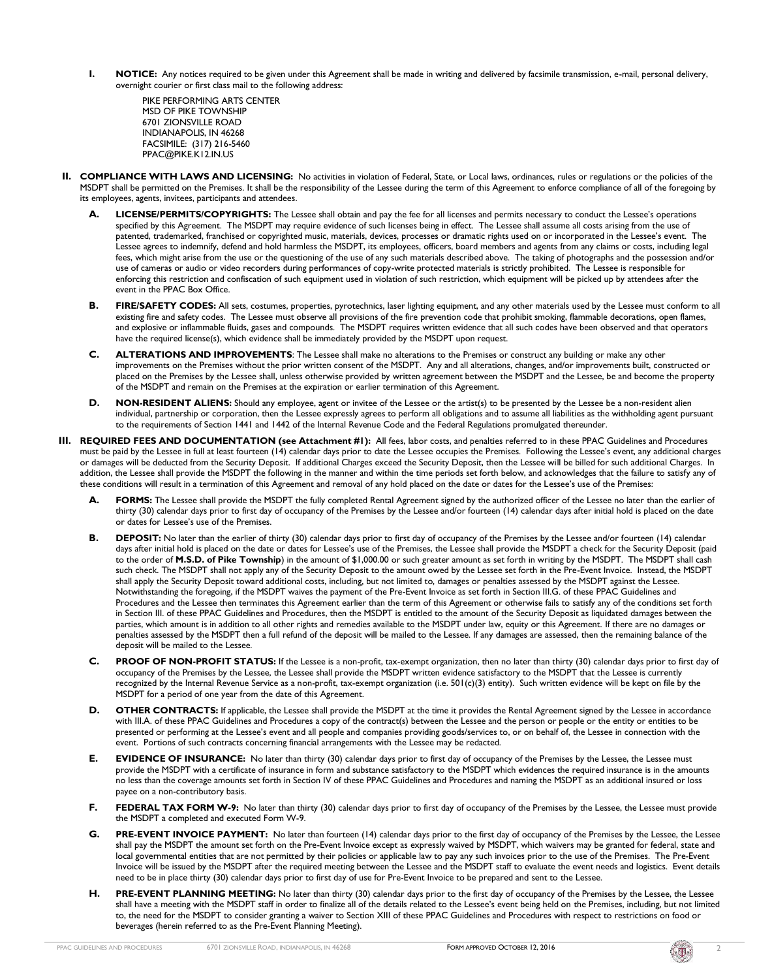**I. NOTICE:** Any notices required to be given under this Agreement shall be made in writing and delivered by facsimile transmission, e-mail, personal delivery, overnight courier or first class mail to the following address:

PIKE PERFORMING ARTS CENTER MSD OF PIKE TOWNSHIP 6701 ZIONSVILLE ROAD INDIANAPOLIS, IN 46268 FACSIMILE: (317) 216-5460 PPAC@PIKE.K12.IN.US

- **II. COMPLIANCE WITH LAWS AND LICENSING:** No activities in violation of Federal, State, or Local laws, ordinances, rules or regulations or the policies of the MSDPT shall be permitted on the Premises. It shall be the responsibility of the Lessee during the term of this Agreement to enforce compliance of all of the foregoing by its employees, agents, invitees, participants and attendees.
	- **A. LICENSE/PERMITS/COPYRIGHTS:** The Lessee shall obtain and pay the fee for all licenses and permits necessary to conduct the Lessee's operations specified by this Agreement. The MSDPT may require evidence of such licenses being in effect. The Lessee shall assume all costs arising from the use of patented, trademarked, franchised or copyrighted music, materials, devices, processes or dramatic rights used on or incorporated in the Lessee's event. The Lessee agrees to indemnify, defend and hold harmless the MSDPT, its employees, officers, board members and agents from any claims or costs, including legal fees, which might arise from the use or the questioning of the use of any such materials described above. The taking of photographs and the possession and/or use of cameras or audio or video recorders during performances of copy-write protected materials is strictly prohibited. The Lessee is responsible for enforcing this restriction and confiscation of such equipment used in violation of such restriction, which equipment will be picked up by attendees after the event in the PPAC Box Office.
	- **B. FIRE/SAFETY CODES:** All sets, costumes, properties, pyrotechnics, laser lighting equipment, and any other materials used by the Lessee must conform to all existing fire and safety codes. The Lessee must observe all provisions of the fire prevention code that prohibit smoking, flammable decorations, open flames, and explosive or inflammable fluids, gases and compounds. The MSDPT requires written evidence that all such codes have been observed and that operators have the required license(s), which evidence shall be immediately provided by the MSDPT upon request.
	- **C. ALTERATIONS AND IMPROVEMENTS**: The Lessee shall make no alterations to the Premises or construct any building or make any other improvements on the Premises without the prior written consent of the MSDPT. Any and all alterations, changes, and/or improvements built, constructed or placed on the Premises by the Lessee shall, unless otherwise provided by written agreement between the MSDPT and the Lessee, be and become the property of the MSDPT and remain on the Premises at the expiration or earlier termination of this Agreement.
	- **D.** NON-RESIDENT ALIENS: Should any employee, agent or invitee of the Lessee or the artist(s) to be presented by the Lessee be a non-resident alien individual, partnership or corporation, then the Lessee expressly agrees to perform all obligations and to assume all liabilities as the withholding agent pursuant to the requirements of Section 1441 and 1442 of the Internal Revenue Code and the Federal Regulations promulgated thereunder.
- **III. REQUIRED FEES AND DOCUMENTATION (see Attachment #1):** All fees, labor costs, and penalties referred to in these PPAC Guidelines and Procedures must be paid by the Lessee in full at least fourteen (14) calendar days prior to date the Lessee occupies the Premises. Following the Lessee's event, any additional charges or damages will be deducted from the Security Deposit. If additional Charges exceed the Security Deposit, then the Lessee will be billed for such additional Charges. In addition, the Lessee shall provide the MSDPT the following in the manner and within the time periods set forth below, and acknowledges that the failure to satisfy any of these conditions will result in a termination of this Agreement and removal of any hold placed on the date or dates for the Lessee's use of the Premises:
	- **A. FORMS:** The Lessee shall provide the MSDPT the fully completed Rental Agreement signed by the authorized officer of the Lessee no later than the earlier of thirty (30) calendar days prior to first day of occupancy of the Premises by the Lessee and/or fourteen (14) calendar days after initial hold is placed on the date or dates for Lessee's use of the Premises.
	- **B. DEPOSIT:** No later than the earlier of thirty (30) calendar days prior to first day of occupancy of the Premises by the Lessee and/or fourteen (14) calendar days after initial hold is placed on the date or dates for Lessee's use of the Premises, the Lessee shall provide the MSDPT a check for the Security Deposit (paid to the order of **M.S.D. of Pike Township**) in the amount of \$1,000.00 or such greater amount as set forth in writing by the MSDPT. The MSDPT shall cash such check. The MSDPT shall not apply any of the Security Deposit to the amount owed by the Lessee set forth in the Pre-Event Invoice. Instead, the MSDPT shall apply the Security Deposit toward additional costs, including, but not limited to, damages or penalties assessed by the MSDPT against the Lessee. Notwithstanding the foregoing, if the MSDPT waives the payment of the Pre-Event Invoice as set forth in Section III.G. of these PPAC Guidelines and Procedures and the Lessee then terminates this Agreement earlier than the term of this Agreement or otherwise fails to satisfy any of the conditions set forth in Section III. of these PPAC Guidelines and Procedures, then the MSDPT is entitled to the amount of the Security Deposit as liquidated damages between the parties, which amount is in addition to all other rights and remedies available to the MSDPT under law, equity or this Agreement. If there are no damages or penalties assessed by the MSDPT then a full refund of the deposit will be mailed to the Lessee. If any damages are assessed, then the remaining balance of the deposit will be mailed to the Lessee.
	- **C. PROOF OF NON-PROFIT STATUS:** If the Lessee is a non-profit, tax-exempt organization, then no later than thirty (30) calendar days prior to first day of occupancy of the Premises by the Lessee, the Lessee shall provide the MSDPT written evidence satisfactory to the MSDPT that the Lessee is currently recognized by the Internal Revenue Service as a non-profit, tax-exempt organization (i.e. 501(c)(3) entity). Such written evidence will be kept on file by the MSDPT for a period of one year from the date of this Agreement.
	- **D. OTHER CONTRACTS:** If applicable, the Lessee shall provide the MSDPT at the time it provides the Rental Agreement signed by the Lessee in accordance with III.A. of these PPAC Guidelines and Procedures a copy of the contract(s) between the Lessee and the person or people or the entity or entities to be presented or performing at the Lessee's event and all people and companies providing goods/services to, or on behalf of, the Lessee in connection with the event. Portions of such contracts concerning financial arrangements with the Lessee may be redacted.
	- **E. EVIDENCE OF INSURANCE:** No later than thirty (30) calendar days prior to first day of occupancy of the Premises by the Lessee, the Lessee must provide the MSDPT with a certificate of insurance in form and substance satisfactory to the MSDPT which evidences the required insurance is in the amounts no less than the coverage amounts set forth in Section IV of these PPAC Guidelines and Procedures and naming the MSDPT as an additional insured or loss payee on a non-contributory basis.
	- **F. FEDERAL TAX FORM W-9:** No later than thirty (30) calendar days prior to first day of occupancy of the Premises by the Lessee, the Lessee must provide the MSDPT a completed and executed Form W-9.
	- **G. PRE-EVENT INVOICE PAYMENT:** No later than fourteen (14) calendar days prior to the first day of occupancy of the Premises by the Lessee, the Lessee shall pay the MSDPT the amount set forth on the Pre-Event Invoice except as expressly waived by MSDPT, which waivers may be granted for federal, state and local governmental entities that are not permitted by their policies or applicable law to pay any such invoices prior to the use of the Premises. The Pre-Event Invoice will be issued by the MSDPT after the required meeting between the Lessee and the MSDPT staff to evaluate the event needs and logistics. Event details need to be in place thirty (30) calendar days prior to first day of use for Pre-Event Invoice to be prepared and sent to the Lessee.
	- H. PRE-EVENT PLANNING MEETING: No later than thirty (30) calendar days prior to the first day of occupancy of the Premises by the Lessee, the Lessee shall have a meeting with the MSDPT staff in order to finalize all of the details related to the Lessee's event being held on the Premises, including, but not limited to, the need for the MSDPT to consider granting a waiver to Section XIII of these PPAC Guidelines and Procedures with respect to restrictions on food or beverages (herein referred to as the Pre-Event Planning Meeting).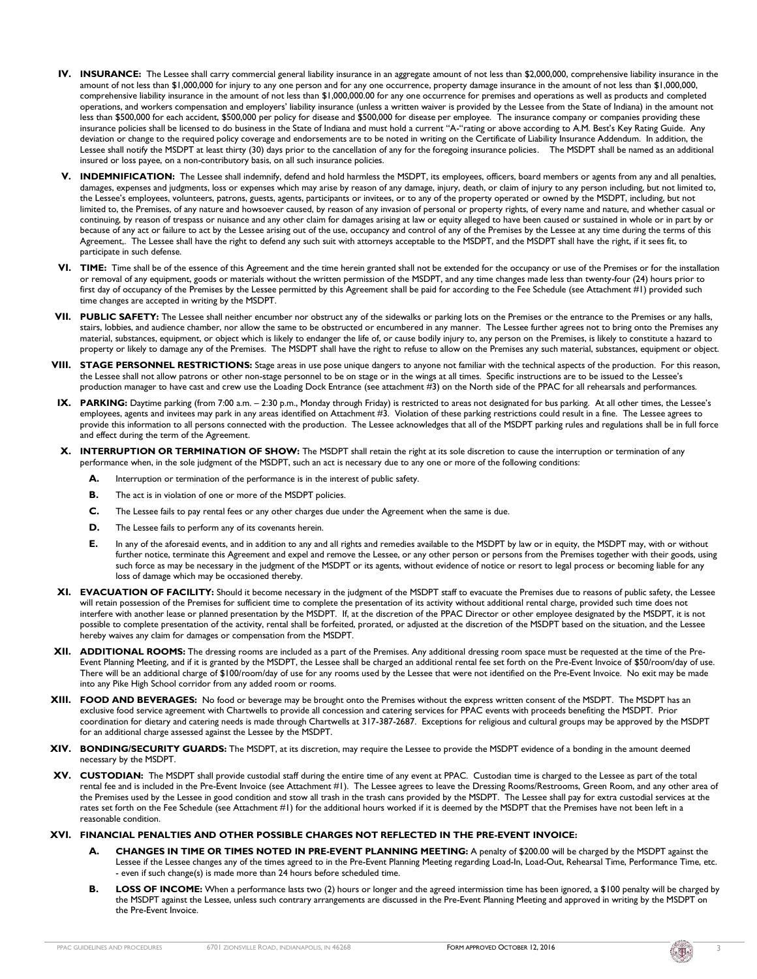- **IV. INSURANCE:** The Lessee shall carry commercial general liability insurance in an aggregate amount of not less than \$2,000,000, comprehensive liability insurance in the amount of not less than \$1,000,000 for injury to any one person and for any one occurrence, property damage insurance in the amount of not less than \$1,000,000, comprehensive liability insurance in the amount of not less than \$1,000,000.00 for any one occurrence for premises and operations as well as products and completed operations, and workers compensation and employers' liability insurance (unless a written waiver is provided by the Lessee from the State of Indiana) in the amount not less than \$500,000 for each accident, \$500,000 per policy for disease and \$500,000 for disease per employee. The insurance company or companies providing these insurance policies shall be licensed to do business in the State of Indiana and must hold a current "A-"rating or above according to A.M. Best's Key Rating Guide. Any deviation or change to the required policy coverage and endorsements are to be noted in writing on the Certificate of Liability Insurance Addendum. In addition, the Lessee shall notify the MSDPT at least thirty (30) days prior to the cancellation of any for the foregoing insurance policies. The MSDPT shall be named as an additional insured or loss payee, on a non-contributory basis, on all such insurance policies.
- **V. INDEMNIFICATION:** The Lessee shall indemnify, defend and hold harmless the MSDPT, its employees, officers, board members or agents from any and all penalties, damages, expenses and judgments, loss or expenses which may arise by reason of any damage, injury, death, or claim of injury to any person including, but not limited to, the Lessee's employees, volunteers, patrons, guests, agents, participants or invitees, or to any of the property operated or owned by the MSDPT, including, but not limited to, the Premises, of any nature and howsoever caused, by reason of any invasion of personal or property rights, of every name and nature, and whether casual or continuing, by reason of trespass or nuisance and any other claim for damages arising at law or equity alleged to have been caused or sustained in whole or in part by or because of any act or failure to act by the Lessee arising out of the use, occupancy and control of any of the Premises by the Lessee at any time during the terms of this Agreement,. The Lessee shall have the right to defend any such suit with attorneys acceptable to the MSDPT, and the MSDPT shall have the right, if it sees fit, to participate in such defense.
- **VI. TIME:** Time shall be of the essence of this Agreement and the time herein granted shall not be extended for the occupancy or use of the Premises or for the installation or removal of any equipment, goods or materials without the written permission of the MSDPT, and any time changes made less than twenty-four (24) hours prior to first day of occupancy of the Premises by the Lessee permitted by this Agreement shall be paid for according to the Fee Schedule (see Attachment #1) provided such time changes are accepted in writing by the MSDPT.
- **VII. PUBLIC SAFETY:** The Lessee shall neither encumber nor obstruct any of the sidewalks or parking lots on the Premises or the entrance to the Premises or any halls, stairs, lobbies, and audience chamber, nor allow the same to be obstructed or encumbered in any manner. The Lessee further agrees not to bring onto the Premises any material, substances, equipment, or object which is likely to endanger the life of, or cause bodily injury to, any person on the Premises, is likely to constitute a hazard to property or likely to damage any of the Premises. The MSDPT shall have the right to refuse to allow on the Premises any such material, substances, equipment or object.
- **VIII. STAGE PERSONNEL RESTRICTIONS:** Stage areas in use pose unique dangers to anyone not familiar with the technical aspects of the production. For this reason, the Lessee shall not allow patrons or other non-stage personnel to be on stage or in the wings at all times. Specific instructions are to be issued to the Lessee's production manager to have cast and crew use the Loading Dock Entrance (see attachment #3) on the North side of the PPAC for all rehearsals and performances.
- IX. PARKING: Daytime parking (from 7:00 a.m. 2:30 p.m., Monday through Friday) is restricted to areas not designated for bus parking. At all other times, the Lessee's employees, agents and invitees may park in any areas identified on Attachment #3. Violation of these parking restrictions could result in a fine. The Lessee agrees to provide this information to all persons connected with the production. The Lessee acknowledges that all of the MSDPT parking rules and regulations shall be in full force and effect during the term of the Agreement.
- **X. INTERRUPTION OR TERMINATION OF SHOW:** The MSDPT shall retain the right at its sole discretion to cause the interruption or termination of any performance when, in the sole judgment of the MSDPT, such an act is necessary due to any one or more of the following conditions:
	- **A.** Interruption or termination of the performance is in the interest of public safety.
	- **B.** The act is in violation of one or more of the MSDPT policies.
	- **C.** The Lessee fails to pay rental fees or any other charges due under the Agreement when the same is due.
	- **D.** The Lessee fails to perform any of its covenants herein.
	- **E.** In any of the aforesaid events, and in addition to any and all rights and remedies available to the MSDPT by law or in equity, the MSDPT may, with or without further notice, terminate this Agreement and expel and remove the Lessee, or any other person or persons from the Premises together with their goods, using such force as may be necessary in the judgment of the MSDPT or its agents, without evidence of notice or resort to legal process or becoming liable for any loss of damage which may be occasioned thereby.
- **XI. EVACUATION OF FACILITY:** Should it become necessary in the judgment of the MSDPT staff to evacuate the Premises due to reasons of public safety, the Lessee will retain possession of the Premises for sufficient time to complete the presentation of its activity without additional rental charge, provided such time does not interfere with another lease or planned presentation by the MSDPT. If, at the discretion of the PPAC Director or other employee designated by the MSDPT, it is not possible to complete presentation of the activity, rental shall be forfeited, prorated, or adjusted at the discretion of the MSDPT based on the situation, and the Lessee hereby waives any claim for damages or compensation from the MSDPT.
- **XII. ADDITIONAL ROOMS:** The dressing rooms are included as a part of the Premises. Any additional dressing room space must be requested at the time of the Pre-Event Planning Meeting, and if it is granted by the MSDPT, the Lessee shall be charged an additional rental fee set forth on the Pre-Event Invoice of \$50/room/day of use. There will be an additional charge of \$100/room/day of use for any rooms used by the Lessee that were not identified on the Pre-Event Invoice. No exit may be made into any Pike High School corridor from any added room or rooms.
- **XIII. FOOD AND BEVERAGES:** No food or beverage may be brought onto the Premises without the express written consent of the MSDPT. The MSDPT has an exclusive food service agreement with Chartwells to provide all concession and catering services for PPAC events with proceeds benefiting the MSDPT. Prior coordination for dietary and catering needs is made through Chartwells at 317-387-2687. Exceptions for religious and cultural groups may be approved by the MSDPT for an additional charge assessed against the Lessee by the MSDPT.
- **XIV. BONDING/SECURITY GUARDS:** The MSDPT, at its discretion, may require the Lessee to provide the MSDPT evidence of a bonding in the amount deemed necessary by the MSDPT.
- **XV. CUSTODIAN:** The MSDPT shall provide custodial staff during the entire time of any event at PPAC. Custodian time is charged to the Lessee as part of the total rental fee and is included in the Pre-Event Invoice (see Attachment #1). The Lessee agrees to leave the Dressing Rooms/Restrooms, Green Room, and any other area of the Premises used by the Lessee in good condition and stow all trash in the trash cans provided by the MSDPT. The Lessee shall pay for extra custodial services at the rates set forth on the Fee Schedule (see Attachment #1) for the additional hours worked if it is deemed by the MSDPT that the Premises have not been left in a reasonable condition.
- **XVI. FINANCIAL PENALTIES AND OTHER POSSIBLE CHARGES NOT REFLECTED IN THE PRE-EVENT INVOICE:**
	- **A. CHANGES IN TIME OR TIMES NOTED IN PRE-EVENT PLANNING MEETING:** A penalty of \$200.00 will be charged by the MSDPT against the Lessee if the Lessee changes any of the times agreed to in the Pre-Event Planning Meeting regarding Load-In, Load-Out, Rehearsal Time, Performance Time, etc. - even if such change(s) is made more than 24 hours before scheduled time.
	- **B.** LOSS OF INCOME: When a performance lasts two (2) hours or longer and the agreed intermission time has been ignored, a \$100 penalty will be charged by the MSDPT against the Lessee, unless such contrary arrangements are discussed in the Pre-Event Planning Meeting and approved in writing by the MSDPT on the Pre-Event Invoice.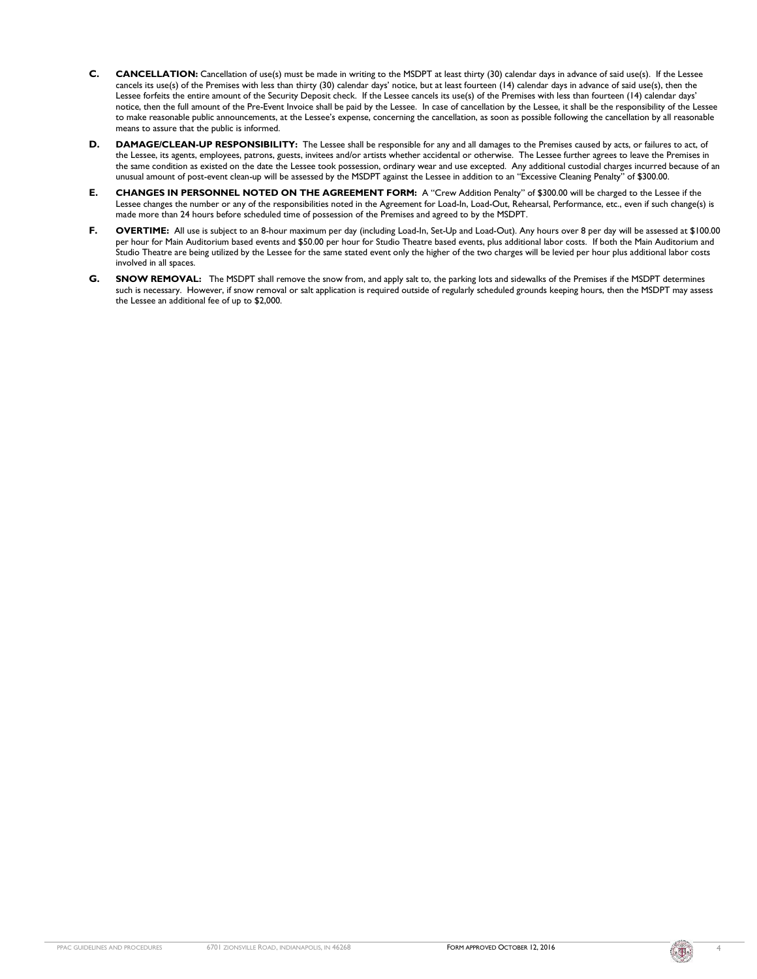- **C. CANCELLATION:** Cancellation of use(s) must be made in writing to the MSDPT at least thirty (30) calendar days in advance of said use(s). If the Lessee cancels its use(s) of the Premises with less than thirty (30) calendar days' notice, but at least fourteen (14) calendar days in advance of said use(s), then the Lessee forfeits the entire amount of the Security Deposit check. If the Lessee cancels its use(s) of the Premises with less than fourteen (14) calendar days' notice, then the full amount of the Pre-Event Invoice shall be paid by the Lessee. In case of cancellation by the Lessee, it shall be the responsibility of the Lessee to make reasonable public announcements, at the Lessee's expense, concerning the cancellation, as soon as possible following the cancellation by all reasonable means to assure that the public is informed.
- **D. DAMAGE/CLEAN-UP RESPONSIBILITY:** The Lessee shall be responsible for any and all damages to the Premises caused by acts, or failures to act, of the Lessee, its agents, employees, patrons, guests, invitees and/or artists whether accidental or otherwise. The Lessee further agrees to leave the Premises in the same condition as existed on the date the Lessee took possession, ordinary wear and use excepted. Any additional custodial charges incurred because of an unusual amount of post-event clean-up will be assessed by the MSDPT against the Lessee in addition to an "Excessive Cleaning Penalty" of \$300.00.
- **E. CHANGES IN PERSONNEL NOTED ON THE AGREEMENT FORM:** A "Crew Addition Penalty" of \$300.00 will be charged to the Lessee if the Lessee changes the number or any of the responsibilities noted in the Agreement for Load-In, Load-Out, Rehearsal, Performance, etc., even if such change(s) is made more than 24 hours before scheduled time of possession of the Premises and agreed to by the MSDPT.
- F. **OVERTIME:** All use is subject to an 8-hour maximum per day (including Load-In, Set-Up and Load-Out). Any hours over 8 per day will be assessed at \$100.00 per hour for Main Auditorium based events and \$50.00 per hour for Studio Theatre based events, plus additional labor costs. If both the Main Auditorium and Studio Theatre are being utilized by the Lessee for the same stated event only the higher of the two charges will be levied per hour plus additional labor costs involved in all spaces.
- G. SNOW REMOVAL: The MSDPT shall remove the snow from, and apply salt to, the parking lots and sidewalks of the Premises if the MSDPT determines such is necessary. However, if snow removal or salt application is required outside of regularly scheduled grounds keeping hours, then the MSDPT may assess the Lessee an additional fee of up to \$2,000.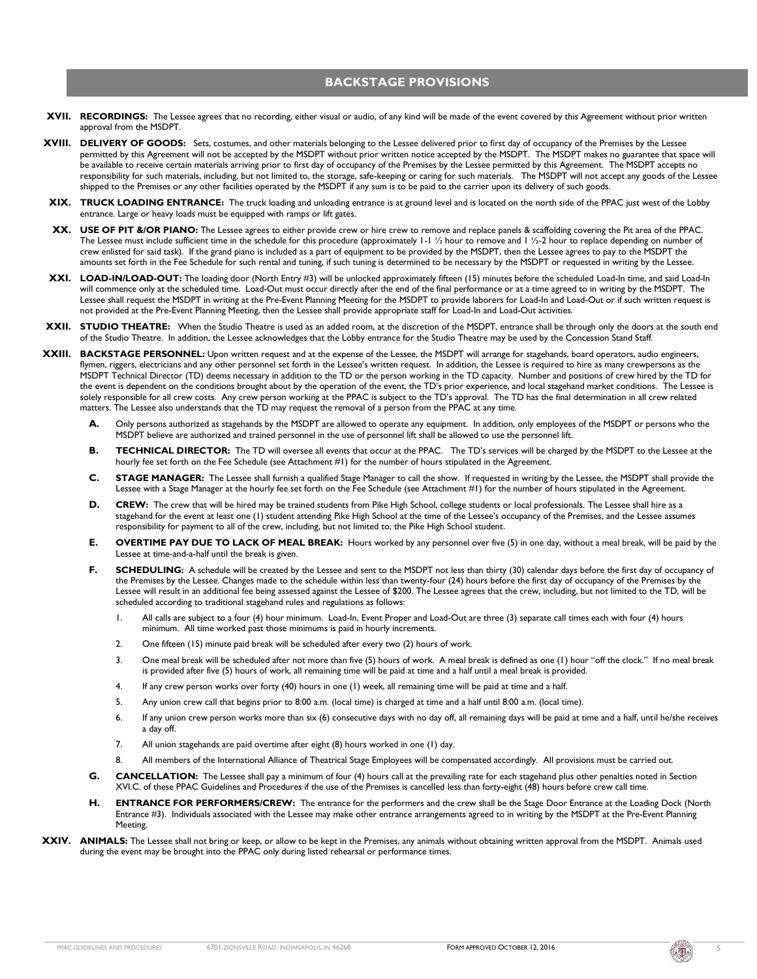### **BACKSTAGE PROVISIONS**

- **XVII. RECORDINGS:** The Lessee agrees that no recording, either visual or audio, of any kind will be made of the event covered by this Agreement without prior written approval from the MSDPT.
- **XVIII. DELIVERY OF GOODS:** Sets, costumes, and other materials belonging to the Lessee delivered prior to first day of occupancy of the Premises by the Lessee permitted by this Agreement will not be accepted by the MSDPT without prior written notice accepted by the MSDPT. The MSDPT makes no guarantee that space will be available to receive certain materials arriving prior to first day of occupancy of the Premises by the Lessee permitted by this Agreement. The MSDPT accepts no responsibility for such materials, including, but not limited to, the storage, safe-keeping or caring for such materials. The MSDPT will not accept any goods of the Lessee shipped to the Premises or any other facilities operated by the MSDPT if any sum is to be paid to the carrier upon its delivery of such goods.
- **XIX. TRUCK LOADING ENTRANCE:** The truck loading and unloading entrance is at ground level and is located on the north side of the PPAC just west of the Lobby entrance. Large or heavy loads must be equipped with ramps or lift gates.
- **XX. USE OF PIT &/OR PIANO:** The Lessee agrees to either provide crew or hire crew to remove and replace panels & scaffolding covering the Pit area of the PPAC. The Lessee must include sufficient time in the schedule for this procedure (approximately 1-1 ½ hour to remove and 1 ½-2 hour to replace depending on number of crew enlisted for said task). If the grand piano is included as a part of equipment to be provided by the MSDPT, then the Lessee agrees to pay to the MSDPT the amounts set forth in the Fee Schedule for such rental and tuning, if such tuning is determined to be necessary by the MSDPT or requested in writing by the Lessee.
- **XXI. LOAD-IN/LOAD-OUT:** The loading door (North Entry #3) will be unlocked approximately fifteen (15) minutes before the scheduled Load-In time, and said Load-In will commence only at the scheduled time. Load-Out must occur directly after the end of the final performance or at a time agreed to in writing by the MSDPT. The Lessee shall request the MSDPT in writing at the Pre-Event Planning Meeting for the MSDPT to provide laborers for Load-In and Load-Out or if such written request is not provided at the Pre-Event Planning Meeting, then the Lessee shall provide appropriate staff for Load-In and Load-Out activities.
- **XXII. STUDIO THEATRE:** When the Studio Theatre is used as an added room, at the discretion of the MSDPT, entrance shall be through only the doors at the south end of the Studio Theatre. In addition, the Lessee acknowledges that the Lobby entrance for the Studio Theatre may be used by the Concession Stand Staff.
- **XXIII. BACKSTAGE PERSONNEL:** Upon written request and at the expense of the Lessee, the MSDPT will arrange for stagehands, board operators, audio engineers, flymen, riggers, electricians and any other personnel set forth in the Lessee's written request. In addition, the Lessee is required to hire as many crewpersons as the MSDPT Technical Director (TD) deems necessary in addition to the TD or the person working in the TD capacity. Number and positions of crew hired by the TD for the event is dependent on the conditions brought about by the operation of the event, the TD's prior experience, and local stagehand market conditions. The Lessee is solely responsible for all crew costs. Any crew person working at the PPAC is subject to the TD's approval. The TD has the final determination in all crew related matters. The Lessee also understands that the TD may request the removal of a person from the PPAC at any time.
	- **A.** Only persons authorized as stagehands by the MSDPT are allowed to operate any equipment. In addition, only employees of the MSDPT or persons who the MSDPT believe are authorized and trained personnel in the use of personnel lift shall be allowed to use the personnel lift.
	- **B. TECHNICAL DIRECTOR:** The TD will oversee all events that occur at the PPAC. The TD's services will be charged by the MSDPT to the Lessee at the hourly fee set forth on the Fee Schedule (see Attachment #1) for the number of hours stipulated in the Agreement.
	- **C. STAGE MANAGER:** The Lessee shall furnish a qualified Stage Manager to call the show. If requested in writing by the Lessee, the MSDPT shall provide the Lessee with a Stage Manager at the hourly fee set forth on the Fee Schedule (see Attachment #1) for the number of hours stipulated in the Agreement.
	- D. CREW: The crew that will be hired may be trained students from Pike High School, college students or local professionals. The Lessee shall hire as a stagehand for the event at least one (1) student attending Pike High School at the time of the Lessee's occupancy of the Premises, and the Lessee assumes responsibility for payment to all of the crew, including, but not limited to, the Pike High School student.
	- **E. OVERTIME PAY DUE TO LACK OF MEAL BREAK:** Hours worked by any personnel over five (5) in one day, without a meal break, will be paid by the Lessee at time-and-a-half until the break is given.
	- F. **SCHEDULING:** A schedule will be created by the Lessee and sent to the MSDPT not less than thirty (30) calendar days before the first day of occupancy of the Premises by the Lessee. Changes made to the schedule within less than twenty-four (24) hours before the first day of occupancy of the Premises by the Lessee will result in an additional fee being assessed against the Lessee of \$200. The Lessee agrees that the crew, including, but not limited to the TD, will be scheduled according to traditional stagehand rules and regulations as follows:
		- 1. All calls are subject to a four (4) hour minimum. Load-In, Event Proper and Load-Out are three (3) separate call times each with four (4) hours minimum. All time worked past those minimums is paid in hourly increments.
		- 2. One fifteen (15) minute paid break will be scheduled after every two (2) hours of work.
		- 3. One meal break will be scheduled after not more than five (5) hours of work. A meal break is defined as one (1) hour "off the clock." If no meal break is provided after five (5) hours of work, all remaining time will be paid at time and a half until a meal break is provided.
		- 4. If any crew person works over forty (40) hours in one (1) week, all remaining time will be paid at time and a half.
		- 5. Any union crew call that begins prior to 8:00 a.m. (local time) is charged at time and a half until 8:00 a.m. (local time).
		- 6. If any union crew person works more than six (6) consecutive days with no day off, all remaining days will be paid at time and a half, until he/she receives a day off.
		- 7. All union stagehands are paid overtime after eight (8) hours worked in one (1) day.
		- 8. All members of the International Alliance of Theatrical Stage Employees will be compensated accordingly. All provisions must be carried out.
	- **G. CANCELLATION:** The Lessee shall pay a minimum of four (4) hours call at the prevailing rate for each stagehand plus other penalties noted in Section XVI.C. of these PPAC Guidelines and Procedures if the use of the Premises is cancelled less than forty-eight (48) hours before crew call time.
	- **H. ENTRANCE FOR PERFORMERS/CREW:** The entrance for the performers and the crew shall be the Stage Door Entrance at the Loading Dock (North Entrance #3). Individuals associated with the Lessee may make other entrance arrangements agreed to in writing by the MSDPT at the Pre-Event Planning Meeting.
- **XXIV. ANIMALS:** The Lessee shall not bring or keep, or allow to be kept in the Premises, any animals without obtaining written approval from the MSDPT. Animals used during the event may be brought into the PPAC only during listed rehearsal or performance times.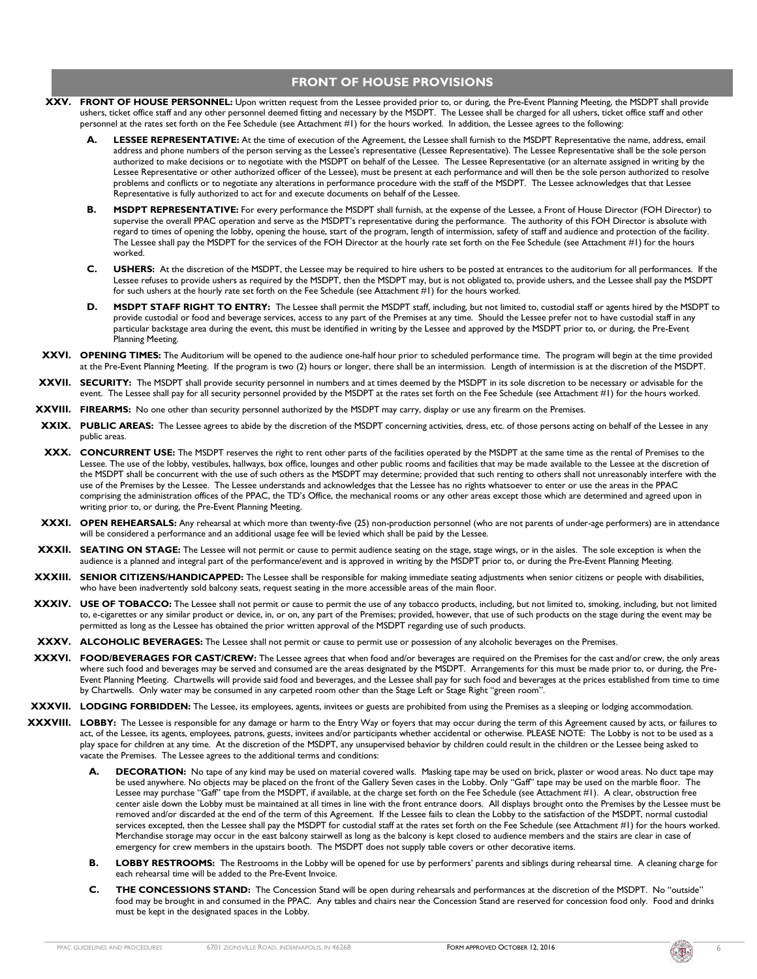#### **FRONT OF HOUSE PROVISIONS**

- **XXV. FRONT OF HOUSE PERSONNEL:** Upon written request from the Lessee provided prior to, or during, the Pre-Event Planning Meeting, the MSDPT shall provide ushers, ticket office staff and any other personnel deemed fitting and necessary by the MSDPT. The Lessee shall be charged for all ushers, ticket office staff and other personnel at the rates set forth on the Fee Schedule (see Attachment #1) for the hours worked. In addition, the Lessee agrees to the following:
	- LESSEE REPRESENTATIVE: At the time of execution of the Agreement, the Lessee shall furnish to the MSDPT Representative the name, address, email address and phone numbers of the person serving as the Lessee's representative (Lessee Representative). The Lessee Representative shall be the sole person authorized to make decisions or to negotiate with the MSDPT on behalf of the Lessee. The Lessee Representative (or an alternate assigned in writing by the Lessee Representative or other authorized officer of the Lessee), must be present at each performance and will then be the sole person authorized to resolve problems and conflicts or to negotiate any alterations in performance procedure with the staff of the MSDPT. The Lessee acknowledges that that Lessee Representative is fully authorized to act for and execute documents on behalf of the Lessee.
	- **B. MSDPT REPRESENTATIVE:** For every performance the MSDPT shall furnish, at the expense of the Lessee, a Front of House Director (FOH Director) to supervise the overall PPAC operation and serve as the MSDPT's representative during the performance. The authority of this FOH Director is absolute with regard to times of opening the lobby, opening the house, start of the program, length of intermission, safety of staff and audience and protection of the facility. The Lessee shall pay the MSDPT for the services of the FOH Director at the hourly rate set forth on the Fee Schedule (see Attachment #1) for the hours worked.
	- **C. USHERS:** At the discretion of the MSDPT, the Lessee may be required to hire ushers to be posted at entrances to the auditorium for all performances. If the Lessee refuses to provide ushers as required by the MSDPT, then the MSDPT may, but is not obligated to, provide ushers, and the Lessee shall pay the MSDPT for such ushers at the hourly rate set forth on the Fee Schedule (see Attachment #1) for the hours worked.
	- **D. MSDPT STAFF RIGHT TO ENTRY:** The Lessee shall permit the MSDPT staff, including, but not limited to, custodial staff or agents hired by the MSDPT to provide custodial or food and beverage services, access to any part of the Premises at any time. Should the Lessee prefer not to have custodial staff in any particular backstage area during the event, this must be identified in writing by the Lessee and approved by the MSDPT prior to, or during, the Pre-Event Planning Meeting.
- **XXVI. OPENING TIMES:** The Auditorium will be opened to the audience one-half hour prior to scheduled performance time. The program will begin at the time provided at the Pre-Event Planning Meeting. If the program is two (2) hours or longer, there shall be an intermission. Length of intermission is at the discretion of the MSDPT.
- **XXVII. SECURITY:** The MSDPT shall provide security personnel in numbers and at times deemed by the MSDPT in its sole discretion to be necessary or advisable for the event. The Lessee shall pay for all security personnel provided by the MSDPT at the rates set forth on the Fee Schedule (see Attachment #1) for the hours worked.
- **XXVIII. FIREARMS:** No one other than security personnel authorized by the MSDPT may carry, display or use any firearm on the Premises.
- **XXIX. PUBLIC AREAS:** The Lessee agrees to abide by the discretion of the MSDPT concerning activities, dress, etc. of those persons acting on behalf of the Lessee in any public areas.
- **XXX. CONCURRENT USE:** The MSDPT reserves the right to rent other parts of the facilities operated by the MSDPT at the same time as the rental of Premises to the Lessee. The use of the lobby, vestibules, hallways, box office, lounges and other public rooms and facilities that may be made available to the Lessee at the discretion of the MSDPT shall be concurrent with the use of such others as the MSDPT may determine; provided that such renting to others shall not unreasonably interfere with the use of the Premises by the Lessee. The Lessee understands and acknowledges that the Lessee has no rights whatsoever to enter or use the areas in the PPAC comprising the administration offices of the PPAC, the TD's Office, the mechanical rooms or any other areas except those which are determined and agreed upon in writing prior to, or during, the Pre-Event Planning Meeting.
- **XXXI. OPEN REHEARSALS:** Any rehearsal at which more than twenty-five (25) non-production personnel (who are not parents of under-age performers) are in attendance will be considered a performance and an additional usage fee will be levied which shall be paid by the Lessee.
- **XXXII. SEATING ON STAGE:** The Lessee will not permit or cause to permit audience seating on the stage, stage wings, or in the aisles. The sole exception is when the audience is a planned and integral part of the performance/event and is approved in writing by the MSDPT prior to, or during the Pre-Event Planning Meeting.
- **XXXIII. SENIOR CITIZENS/HANDICAPPED:** The Lessee shall be responsible for making immediate seating adjustments when senior citizens or people with disabilities, who have been inadvertently sold balcony seats, request seating in the more accessible areas of the main floor.
- **XXXIV. USE OF TOBACCO:** The Lessee shall not permit or cause to permit the use of any tobacco products, including, but not limited to, smoking, including, but not limited to, e-cigarettes or any similar product or device, in, or on, any part of the Premises; provided, however, that use of such products on the stage during the event may be permitted as long as the Lessee has obtained the prior written approval of the MSDPT regarding use of such products.
- **XXXV. ALCOHOLIC BEVERAGES:** The Lessee shall not permit or cause to permit use or possession of any alcoholic beverages on the Premises.
- **XXXVI. FOOD/BEVERAGES FOR CAST/CREW:** The Lessee agrees that when food and/or beverages are required on the Premises for the cast and/or crew, the only areas where such food and beverages may be served and consumed are the areas designated by the MSDPT. Arrangements for this must be made prior to, or during, the Pre-Event Planning Meeting. Chartwells will provide said food and beverages, and the Lessee shall pay for such food and beverages at the prices established from time to time by Chartwells. Only water may be consumed in any carpeted room other than the Stage Left or Stage Right "green room".
- **XXXVII. LODGING FORBIDDEN:** The Lessee, its employees, agents, invitees or guests are prohibited from using the Premises as a sleeping or lodging accommodation.
- **XXXVIII. LOBBY:** The Lessee is responsible for any damage or harm to the Entry Way or foyers that may occur during the term of this Agreement caused by acts, or failures to act, of the Lessee, its agents, employees, patrons, guests, invitees and/or participants whether accidental or otherwise. PLEASE NOTE: The Lobby is not to be used as a play space for children at any time. At the discretion of the MSDPT, any unsupervised behavior by children could result in the children or the Lessee being asked to vacate the Premises. The Lessee agrees to the additional terms and conditions:
	- **A. DECORATION:** No tape of any kind may be used on material covered walls. Masking tape may be used on brick, plaster or wood areas. No duct tape may be used anywhere. No objects may be placed on the front of the Gallery Seven cases in the Lobby. Only "Gaff" tape may be used on the marble floor. The Lessee may purchase "Gaff" tape from the MSDPT, if available, at the charge set forth on the Fee Schedule (see Attachment #1). A clear, obstruction free center aisle down the Lobby must be maintained at all times in line with the front entrance doors. All displays brought onto the Premises by the Lessee must be removed and/or discarded at the end of the term of this Agreement. If the Lessee fails to clean the Lobby to the satisfaction of the MSDPT, normal custodial services excepted, then the Lessee shall pay the MSDPT for custodial staff at the rates set forth on the Fee Schedule (see Attachment #1) for the hours worked. Merchandise storage may occur in the east balcony stairwell as long as the balcony is kept closed to audience members and the stairs are clear in case of emergency for crew members in the upstairs booth. The MSDPT does not supply table covers or other decorative items.
	- **B. LOBBY RESTROOMS:** The Restrooms in the Lobby will be opened for use by performers' parents and siblings during rehearsal time. A cleaning charge for each rehearsal time will be added to the Pre-Event Invoice.
	- **C. THE CONCESSIONS STAND:** The Concession Stand will be open during rehearsals and performances at the discretion of the MSDPT. No "outside" food may be brought in and consumed in the PPAC. Any tables and chairs near the Concession Stand are reserved for concession food only. Food and drinks must be kept in the designated spaces in the Lobby.

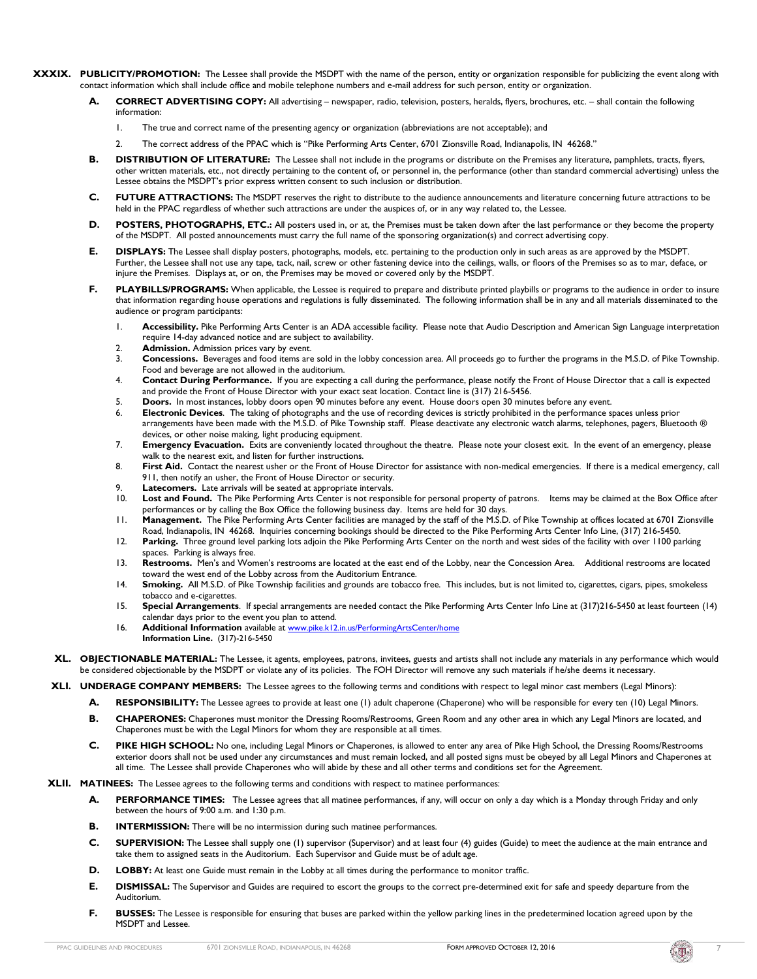- **XXXIX. PUBLICITY/PROMOTION:** The Lessee shall provide the MSDPT with the name of the person, entity or organization responsible for publicizing the event along with contact information which shall include office and mobile telephone numbers and e-mail address for such person, entity or organization.
	- **A. CORRECT ADVERTISING COPY:** All advertising newspaper, radio, television, posters, heralds, flyers, brochures, etc. shall contain the following information:
		- 1. The true and correct name of the presenting agency or organization (abbreviations are not acceptable); and
		- 2. The correct address of the PPAC which is "Pike Performing Arts Center, 6701 Zionsville Road, Indianapolis, IN 46268."
	- **B. DISTRIBUTION OF LITERATURE:** The Lessee shall not include in the programs or distribute on the Premises any literature, pamphlets, tracts, flyers, other written materials, etc., not directly pertaining to the content of, or personnel in, the performance (other than standard commercial advertising) unless the Lessee obtains the MSDPT's prior express written consent to such inclusion or distribution.
	- **C. FUTURE ATTRACTIONS:** The MSDPT reserves the right to distribute to the audience announcements and literature concerning future attractions to be held in the PPAC regardless of whether such attractions are under the auspices of, or in any way related to, the Lessee.
	- **D. POSTERS, PHOTOGRAPHS, ETC.:** All posters used in, or at, the Premises must be taken down after the last performance or they become the property of the MSDPT. All posted announcements must carry the full name of the sponsoring organization(s) and correct advertising copy.
	- **E. DISPLAYS:** The Lessee shall display posters, photographs, models, etc. pertaining to the production only in such areas as are approved by the MSDPT. Further, the Lessee shall not use any tape, tack, nail, screw or other fastening device into the ceilings, walls, or floors of the Premises so as to mar, deface, or injure the Premises. Displays at, or on, the Premises may be moved or covered only by the MSDPT.
	- **F. PLAYBILLS/PROGRAMS:** When applicable, the Lessee is required to prepare and distribute printed playbills or programs to the audience in order to insure that information regarding house operations and regulations is fully disseminated. The following information shall be in any and all materials disseminated to the audience or program participants:
		- 1. **Accessibility.** Pike Performing Arts Center is an ADA accessible facility. Please note that Audio Description and American Sign Language interpretation require 14-day advanced notice and are subject to availability.
		- 2. **Admission.** Admission prices vary by event.<br>3. **Concessions.** Beverages and food items are
		- Concessions. Beverages and food items are sold in the lobby concession area. All proceeds go to further the programs in the M.S.D. of Pike Township. Food and beverage are not allowed in the auditorium.
		- 4. **Contact During Performance.** If you are expecting a call during the performance, please notify the Front of House Director that a call is expected and provide the Front of House Director with your exact seat location. Contact line is (317) 216-5456.
		- 5. **Doors.** In most instances, lobby doors open 90 minutes before any event. House doors open 30 minutes before any event.
		- 6. **Electronic Devices**. The taking of photographs and the use of recording devices is strictly prohibited in the performance spaces unless prior arrangements have been made with the M.S.D. of Pike Township staff. Please deactivate any electronic watch alarms, telephones, pagers, Bluetooth ® devices, or other noise making, light producing equipment.
		- 7. **Emergency Evacuation.** Exits are conveniently located throughout the theatre. Please note your closest exit. In the event of an emergency, please walk to the nearest exit, and listen for further instructions.
		- 8. First Aid. Contact the nearest usher or the Front of House Director for assistance with non-medical emergencies. If there is a medical emergency, call 911, then notify an usher, the Front of House Director or security.
		- Latecomers. Late arrivals will be seated at appropriate intervals.
		- 10. **Lost and Found.** The Pike Performing Arts Center is not responsible for personal property of patrons. Items may be claimed at the Box Office after performances or by calling the Box Office the following business day. Items are held for 30 days.
		- 11. **Management.** The Pike Performing Arts Center facilities are managed by the staff of the M.S.D. of Pike Township at offices located at 6701 Zionsville Road, Indianapolis, IN 46268. Inquiries concerning bookings should be directed to the Pike Performing Arts Center Info Line, (317) 216-5450.
		- 12. **Parking.** Three ground level parking lots adjoin the Pike Performing Arts Center on the north and west sides of the facility with over 1100 parking spaces. Parking is always free.
		- 13. **Restrooms.** Men's and Women's restrooms are located at the east end of the Lobby, near the Concession Area. Additional restrooms are located toward the west end of the Lobby across from the Auditorium Entrance.
		- 14. **Smoking.** All M.S.D. of Pike Township facilities and grounds are tobacco free. This includes, but is not limited to, cigarettes, cigars, pipes, smokeless tobacco and e-cigarettes.
		- 15. **Special Arrangements**. If special arrangements are needed contact the Pike Performing Arts Center Info Line at (317)216-5450 at least fourteen (14) calendar days prior to the event you plan to attend.
		- 16. **Additional Information** available at [www.pike.k12.in.us/PerformingArtsCenter/home](http://www.pike.k12.in.us/PerformingArtsCenter/home) **Information Line.** (317)-216-5450
	- **XL. OBJECTIONABLE MATERIAL:** The Lessee, it agents, employees, patrons, invitees, guests and artists shall not include any materials in any performance which would be considered objectionable by the MSDPT or violate any of its policies. The FOH Director will remove any such materials if he/she deems it necessary.
	- **XLI. UNDERAGE COMPANY MEMBERS:** The Lessee agrees to the following terms and conditions with respect to legal minor cast members (Legal Minors):
		- **A. RESPONSIBILITY:** The Lessee agrees to provide at least one (1) adult chaperone (Chaperone) who will be responsible for every ten (10) Legal Minors.
		- **B. CHAPERONES:** Chaperones must monitor the Dressing Rooms/Restrooms, Green Room and any other area in which any Legal Minors are located, and Chaperones must be with the Legal Minors for whom they are responsible at all times.
		- **C. PIKE HIGH SCHOOL:** No one, including Legal Minors or Chaperones, is allowed to enter any area of Pike High School, the Dressing Rooms/Restrooms exterior doors shall not be used under any circumstances and must remain locked, and all posted signs must be obeyed by all Legal Minors and Chaperones at all time. The Lessee shall provide Chaperones who will abide by these and all other terms and conditions set for the Agreement.
	- **XLII. MATINEES:** The Lessee agrees to the following terms and conditions with respect to matinee performances:
		- **A. PERFORMANCE TIMES:** The Lessee agrees that all matinee performances, if any, will occur on only a day which is a Monday through Friday and only between the hours of 9:00 a.m. and 1:30 p.m.
		- **B. INTERMISSION:** There will be no intermission during such matinee performances.
		- **C. SUPERVISION:** The Lessee shall supply one (1) supervisor (Supervisor) and at least four (4) guides (Guide) to meet the audience at the main entrance and take them to assigned seats in the Auditorium. Each Supervisor and Guide must be of adult age.
		- **D. LOBBY:** At least one Guide must remain in the Lobby at all times during the performance to monitor traffic.
		- **E. DISMISSAL:** The Supervisor and Guides are required to escort the groups to the correct pre-determined exit for safe and speedy departure from the Auditorium.
		- **F. BUSSES:** The Lessee is responsible for ensuring that buses are parked within the yellow parking lines in the predetermined location agreed upon by the MSDPT and Lessee.

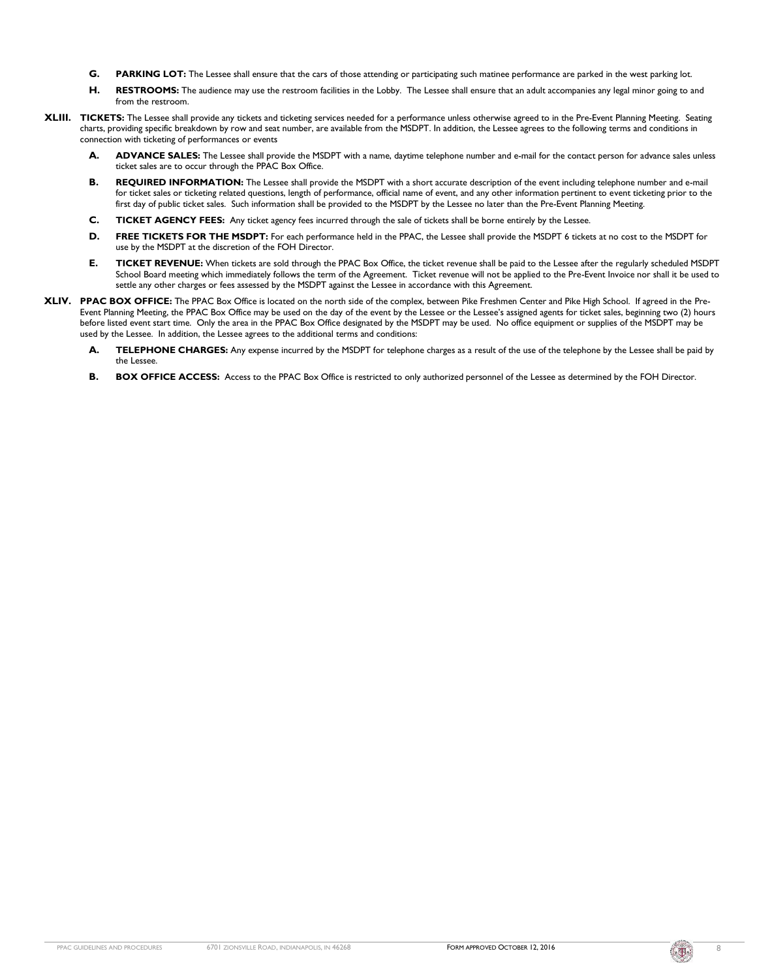- **G. PARKING LOT:** The Lessee shall ensure that the cars of those attending or participating such matinee performance are parked in the west parking lot.
- **H. RESTROOMS:** The audience may use the restroom facilities in the Lobby. The Lessee shall ensure that an adult accompanies any legal minor going to and from the restroom.
- **XLIII. TICKETS:** The Lessee shall provide any tickets and ticketing services needed for a performance unless otherwise agreed to in the Pre-Event Planning Meeting. Seating charts, providing specific breakdown by row and seat number, are available from the MSDPT. In addition, the Lessee agrees to the following terms and conditions in connection with ticketing of performances or events
	- **A. ADVANCE SALES:** The Lessee shall provide the MSDPT with a name, daytime telephone number and e-mail for the contact person for advance sales unless ticket sales are to occur through the PPAC Box Office.
	- **B. REQUIRED INFORMATION:** The Lessee shall provide the MSDPT with a short accurate description of the event including telephone number and e-mail for ticket sales or ticketing related questions, length of performance, official name of event, and any other information pertinent to event ticketing prior to the first day of public ticket sales. Such information shall be provided to the MSDPT by the Lessee no later than the Pre-Event Planning Meeting.
	- **C. TICKET AGENCY FEES:** Any ticket agency fees incurred through the sale of tickets shall be borne entirely by the Lessee.
	- **D. FREE TICKETS FOR THE MSDPT:** For each performance held in the PPAC, the Lessee shall provide the MSDPT 6 tickets at no cost to the MSDPT for use by the MSDPT at the discretion of the FOH Director.
	- **E. TICKET REVENUE:** When tickets are sold through the PPAC Box Office, the ticket revenue shall be paid to the Lessee after the regularly scheduled MSDPT School Board meeting which immediately follows the term of the Agreement. Ticket revenue will not be applied to the Pre-Event Invoice nor shall it be used to settle any other charges or fees assessed by the MSDPT against the Lessee in accordance with this Agreement.
- **XLIV. PPAC BOX OFFICE:** The PPAC Box Office is located on the north side of the complex, between Pike Freshmen Center and Pike High School. If agreed in the Pre-Event Planning Meeting, the PPAC Box Office may be used on the day of the event by the Lessee or the Lessee's assigned agents for ticket sales, beginning two (2) hours before listed event start time. Only the area in the PPAC Box Office designated by the MSDPT may be used. No office equipment or supplies of the MSDPT may be used by the Lessee. In addition, the Lessee agrees to the additional terms and conditions:
	- **A. TELEPHONE CHARGES:** Any expense incurred by the MSDPT for telephone charges as a result of the use of the telephone by the Lessee shall be paid by the Lessee.
	- **B. BOX OFFICE ACCESS:** Access to the PPAC Box Office is restricted to only authorized personnel of the Lessee as determined by the FOH Director.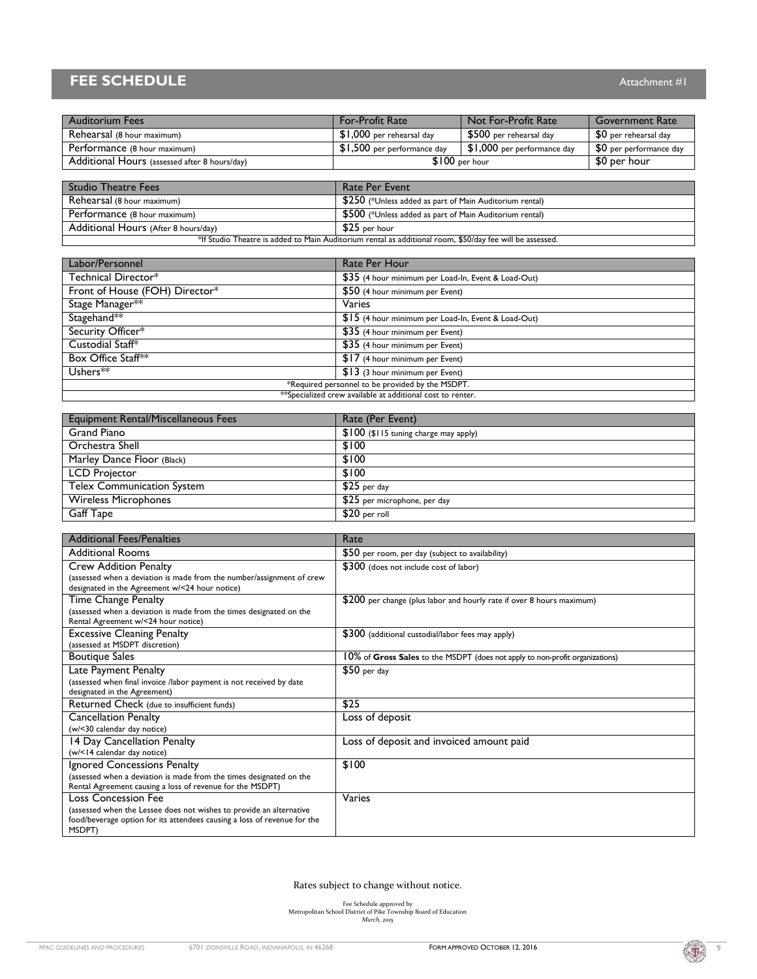# **FEE SCHEDULE** Attachment #1

| <b>Auditorium Fees</b>                        | <b>For-Profit Rate</b>       | Not For-Profit Rate          | Government Rate         |
|-----------------------------------------------|------------------------------|------------------------------|-------------------------|
| Rehearsal (8 hour maximum)                    | $$1,000$ per rehearsal day   | $$500$ per rehearsal day     | \$0 per rehearsal day   |
| Performance (8 hour maximum)                  | $$1,500$ per performance day | $$1,000$ per performance day | \$0 per performance day |
| Additional Hours (assessed after 8 hours/day) | $$100$ per hour              |                              | \$0 per hour            |

| <b>Studio Theatre Fees</b>                                                                               | <b>Rate Per Event</b>                                   |  |
|----------------------------------------------------------------------------------------------------------|---------------------------------------------------------|--|
| Rehearsal (8 hour maximum)                                                                               | \$250 (*Unless added as part of Main Auditorium rental) |  |
| Performance (8 hour maximum)                                                                             | \$500 (*Unless added as part of Main Auditorium rental) |  |
| Additional Hours (After 8 hours/day)                                                                     | $$25$ per hour                                          |  |
| *If Studio Theatre is added to Main Auditorium rental as additional room, \$50/day fee will be assessed. |                                                         |  |

| Labor/Personnel                                            | Rate Per Hour                                       |  |
|------------------------------------------------------------|-----------------------------------------------------|--|
| Technical Director*                                        | \$35 (4 hour minimum per Load-In, Event & Load-Out) |  |
| Front of House (FOH) Director*                             | \$50 (4 hour minimum per Event)                     |  |
| Stage Manager**                                            | Varies                                              |  |
| Stagehand**                                                | \$15 (4 hour minimum per Load-In, Event & Load-Out) |  |
| Security Officer*                                          | \$35 (4 hour minimum per Event)                     |  |
| Custodial Staff*                                           | \$35 (4 hour minimum per Event)                     |  |
| Box Office Staff**                                         | \$17 (4 hour minimum per Event)                     |  |
| Ushers <sup>**</sup>                                       | $$13$ (3 hour minimum per Event)                    |  |
| *Required personnel to be provided by the MSDPT.           |                                                     |  |
| **Specialized crew available at additional cost to renter. |                                                     |  |

| <b>Equipment Rental/Miscellaneous Fees</b> | Rate (Per Event)                       |
|--------------------------------------------|----------------------------------------|
| Grand Piano                                | $$100$ (\$115 tuning charge may apply) |
| Orchestra Shell                            | \$100                                  |
| Marley Dance Floor (Black)                 | \$100                                  |
| <b>LCD Projector</b>                       | \$100                                  |
| <b>Telex Communication System</b>          | $$25$ per day                          |
| <b>Wireless Microphones</b>                | \$25 per microphone, per day           |
| Gaff Tape                                  | $$20$ per roll                         |

| <b>Additional Fees/Penalties</b>                                         | Rate                                                                         |
|--------------------------------------------------------------------------|------------------------------------------------------------------------------|
| <b>Additional Rooms</b>                                                  | \$50 per room, per day (subject to availability)                             |
| <b>Crew Addition Penalty</b>                                             | \$300 (does not include cost of labor)                                       |
| (assessed when a deviation is made from the number/assignment of crew    |                                                                              |
| designated in the Agreement w/<24 hour notice)                           |                                                                              |
| Time Change Penalty                                                      | \$200 per change (plus labor and hourly rate if over 8 hours maximum)        |
| (assessed when a deviation is made from the times designated on the      |                                                                              |
| Rental Agreement w/<24 hour notice)                                      |                                                                              |
| <b>Excessive Cleaning Penalty</b>                                        | \$300 (additional custodial/labor fees may apply)                            |
| (assessed at MSDPT discretion)                                           |                                                                              |
| <b>Boutique Sales</b>                                                    | 10% of Gross Sales to the MSDPT (does not apply to non-profit organizations) |
| Late Payment Penalty                                                     | $$50$ per day                                                                |
| (assessed when final invoice /labor payment is not received by date      |                                                                              |
| designated in the Agreement)                                             |                                                                              |
| Returned Check (due to insufficient funds)                               | \$25                                                                         |
| <b>Cancellation Penalty</b>                                              | Loss of deposit                                                              |
| (w/<30 calendar day notice)                                              |                                                                              |
| 14 Day Cancellation Penalty                                              | Loss of deposit and invoiced amount paid                                     |
| (w/<14 calendar day notice)                                              |                                                                              |
| Ignored Concessions Penalty                                              | \$100                                                                        |
| (assessed when a deviation is made from the times designated on the      |                                                                              |
| Rental Agreement causing a loss of revenue for the MSDPT)                |                                                                              |
| <b>Loss Concession Fee</b>                                               | Varies                                                                       |
| (assessed when the Lessee does not wishes to provide an alternative      |                                                                              |
| food/beverage option for its attendees causing a loss of revenue for the |                                                                              |
| MSDPT)                                                                   |                                                                              |

Rates subject to change without notice.

Fee Schedule approved by<br>Metropolitan School District of Pike Township Board of Education<br>*March, 2015* 

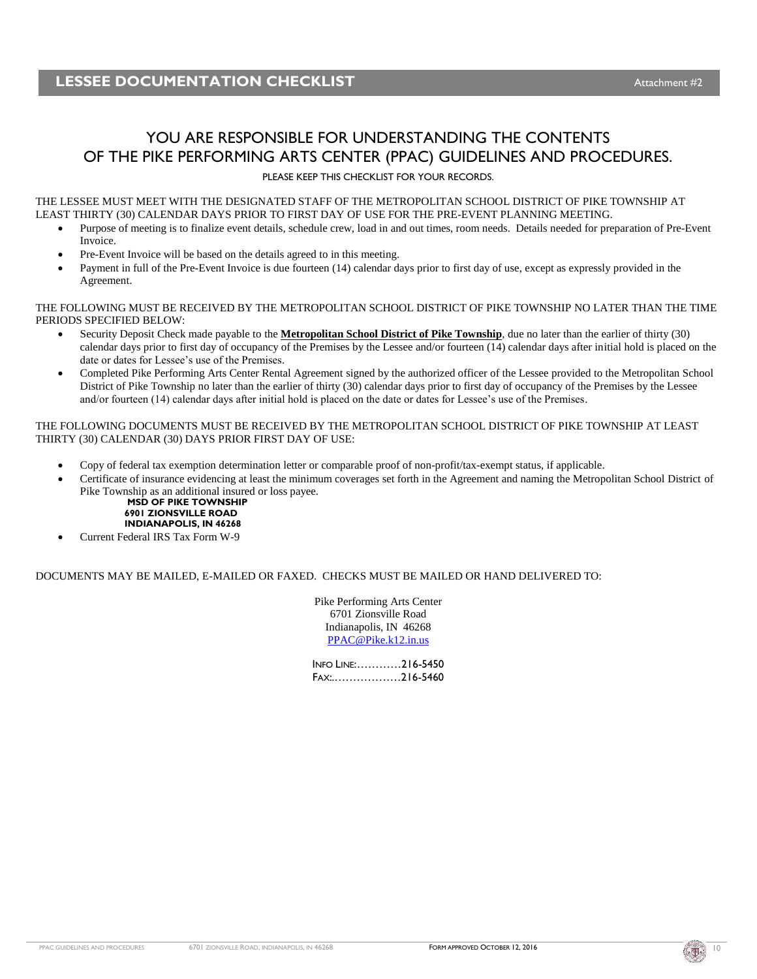## YOU ARE RESPONSIBLE FOR UNDERSTANDING THE CONTENTS OF THE PIKE PERFORMING ARTS CENTER (PPAC) GUIDELINES AND PROCEDURES.

PLEASE KEEP THIS CHECKLIST FOR YOUR RECORDS.

THE LESSEE MUST MEET WITH THE DESIGNATED STAFF OF THE METROPOLITAN SCHOOL DISTRICT OF PIKE TOWNSHIP AT LEAST THIRTY (30) CALENDAR DAYS PRIOR TO FIRST DAY OF USE FOR THE PRE-EVENT PLANNING MEETING.

- Purpose of meeting is to finalize event details, schedule crew, load in and out times, room needs. Details needed for preparation of Pre-Event Invoice.
- Pre-Event Invoice will be based on the details agreed to in this meeting.
- Payment in full of the Pre-Event Invoice is due fourteen (14) calendar days prior to first day of use, except as expressly provided in the Agreement.

THE FOLLOWING MUST BE RECEIVED BY THE METROPOLITAN SCHOOL DISTRICT OF PIKE TOWNSHIP NO LATER THAN THE TIME PERIODS SPECIFIED BELOW:

- Security Deposit Check made payable to the **Metropolitan School District of Pike Township**, due no later than the earlier of thirty (30) calendar days prior to first day of occupancy of the Premises by the Lessee and/or fourteen  $(14)$  calendar days after initial hold is placed on the date or dates for Lessee's use of the Premises.
- Completed Pike Performing Arts Center Rental Agreement signed by the authorized officer of the Lessee provided to the Metropolitan School District of Pike Township no later than the earlier of thirty (30) calendar days prior to first day of occupancy of the Premises by the Lessee and/or fourteen (14) calendar days after initial hold is placed on the date or dates for Lessee's use of the Premises.

THE FOLLOWING DOCUMENTS MUST BE RECEIVED BY THE METROPOLITAN SCHOOL DISTRICT OF PIKE TOWNSHIP AT LEAST THIRTY (30) CALENDAR (30) DAYS PRIOR FIRST DAY OF USE:

- Copy of federal tax exemption determination letter or comparable proof of non-profit/tax-exempt status, if applicable.
- Certificate of insurance evidencing at least the minimum coverages set forth in the Agreement and naming the Metropolitan School District of Pike Township as an additional insured or loss payee.

**MSD OF PIKE TOWNSHIP 6901 ZIONSVILLE ROAD INDIANAPOLIS, IN 46268**

Current Federal IRS Tax Form W-9

#### DOCUMENTS MAY BE MAILED, E-MAILED OR FAXED. CHECKS MUST BE MAILED OR HAND DELIVERED TO:

Pike Performing Arts Center 6701 Zionsville Road Indianapolis, IN 46268 [PPAC@Pike.k12.in.us](mailto:PPAC@Pike.k12.in.us)

INFO LINE:…………216-5450 FAX:.………………216-5460

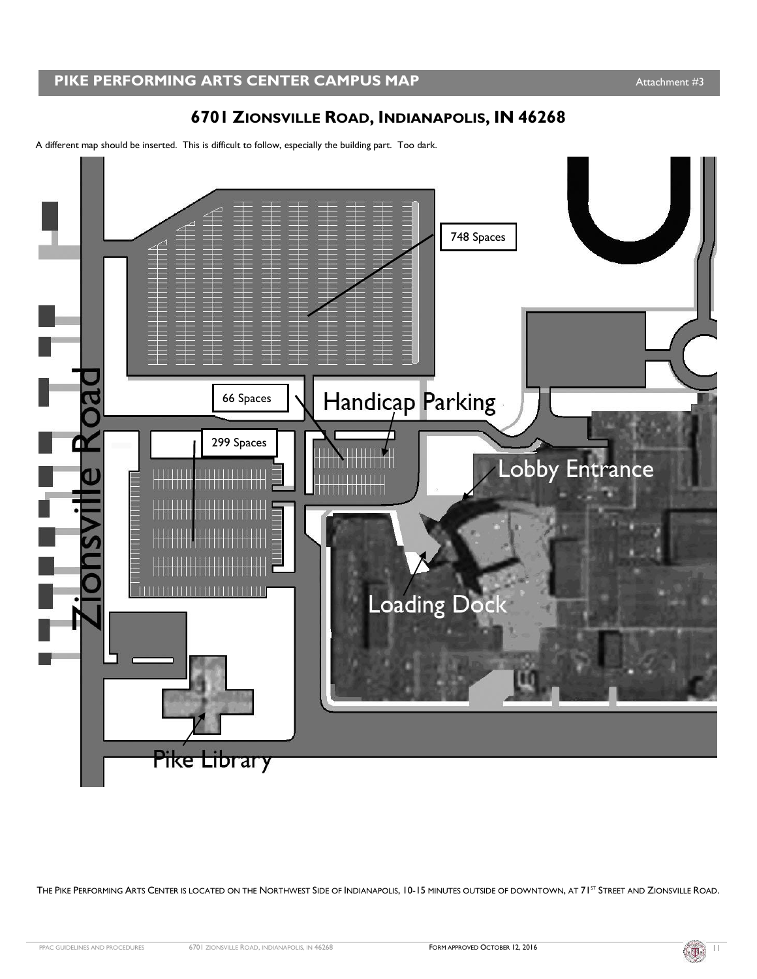# **6701 ZIONSVILLE ROAD, INDIANAPOLIS, IN 46268**

A different map should be inserted. This is difficult to follow, especially the building part. Too dark.



THE PIKE PERFORMING ARTS CENTER IS LOCATED ON THE NORTHWEST SIDE OF INDIANAPOLIS, 10-15 MINUTES OUTSIDE OF DOWNTOWN, AT 71<sup>ST</sup> STREET AND ZIONSVILLE ROAD.

$$
\left(\begin{matrix} \overline{\mathbb{B}}\\ \overline{\mathbb{B}} \end{matrix}\right)^{-1}
$$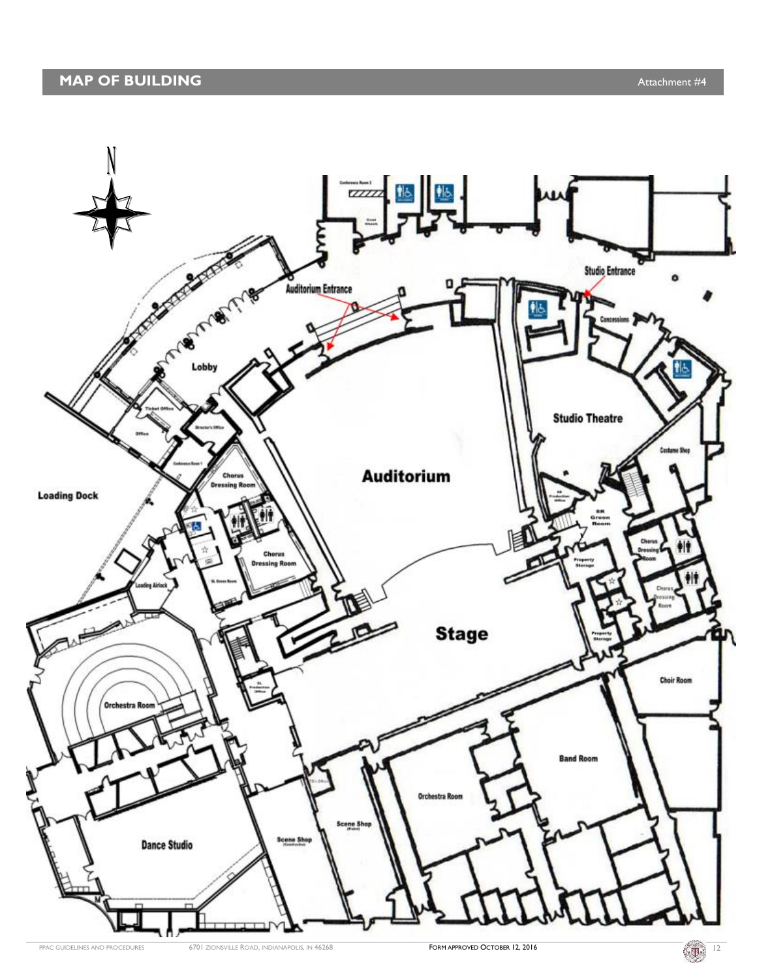